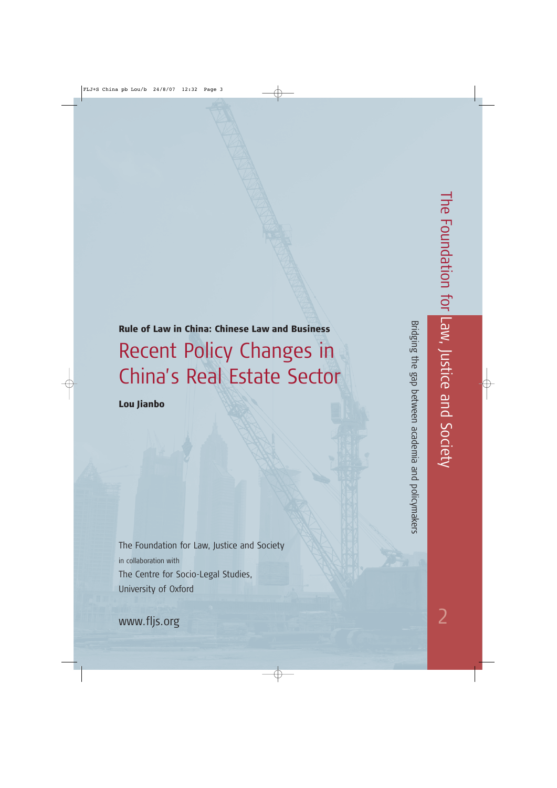# Rule of Law in China: Chinese Law and Business Recent Policy Changes in China's Real Estate Sector

Lou Jianbo

The Foundation for Law, Justice and Society in collaboration with The Centre for Socio-Legal Studies, University of Oxford

Bridging the gap between academia and policymakers Bridging the gap between academia and policymakers

The Foundation for Law, Justice and Society

The Foundation for Law, Justice and Society

www.fljs.org

2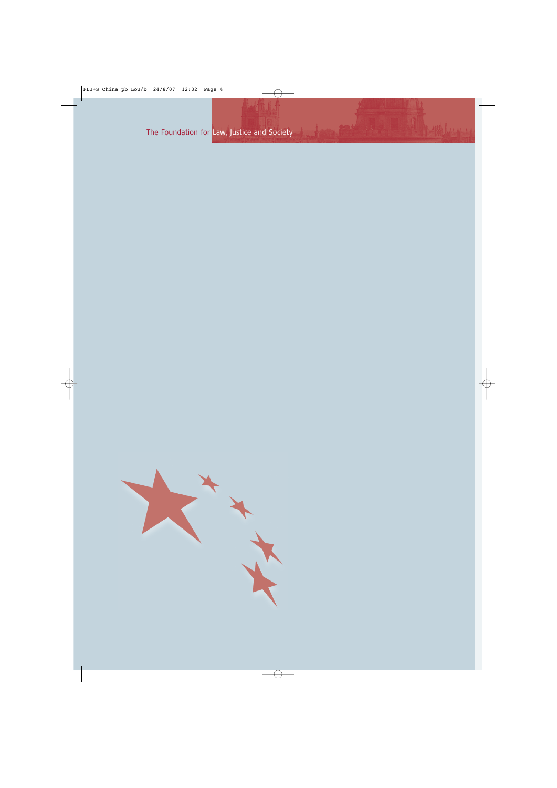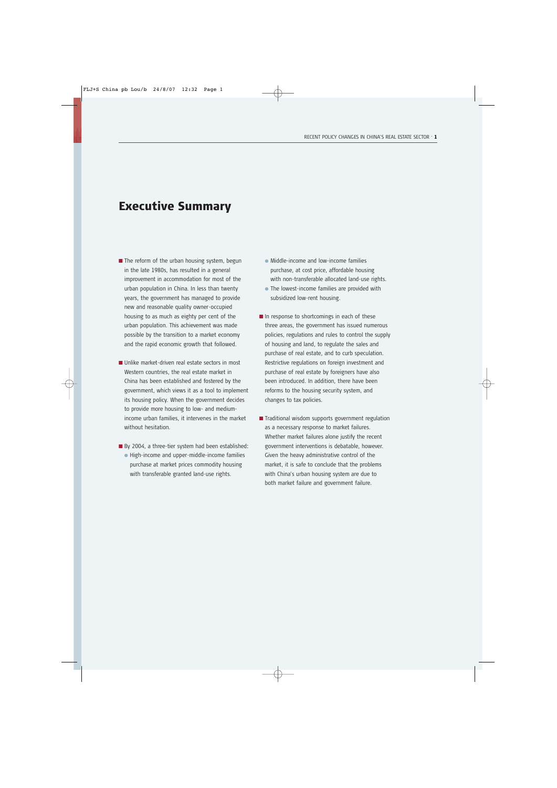# Executive Summary

- The reform of the urban housing system, begun in the late 1980s, has resulted in a general improvement in accommodation for most of the urban population in China. In less than twenty years, the government has managed to provide new and reasonable quality owner-occupied housing to as much as eighty per cent of the urban population. This achievement was made possible by the transition to a market economy and the rapid economic growth that followed.
- Unlike market-driven real estate sectors in most Western countries, the real estate market in China has been established and fostered by the government, which views it as a tool to implement its housing policy. When the government decides to provide more housing to low- and mediumincome urban families, it intervenes in the market without hesitation.
- By 2004, a three-tier system had been established:
	- High-income and upper-middle-income families purchase at market prices commodity housing with transferable granted land-use rights.
- Middle-income and low-income families purchase, at cost price, affordable housing with non-transferable allocated land-use rights.
- The lowest-income families are provided with subsidized low-rent housing.
- In response to shortcomings in each of these three areas, the government has issued numerous policies, regulations and rules to control the supply of housing and land, to regulate the sales and purchase of real estate, and to curb speculation. Restrictive regulations on foreign investment and purchase of real estate by foreigners have also been introduced. In addition, there have been reforms to the housing security system, and changes to tax policies.
- Traditional wisdom supports government regulation as a necessary response to market failures. Whether market failures alone justify the recent government interventions is debatable, however. Given the heavy administrative control of the market, it is safe to conclude that the problems with China's urban housing system are due to both market failure and government failure.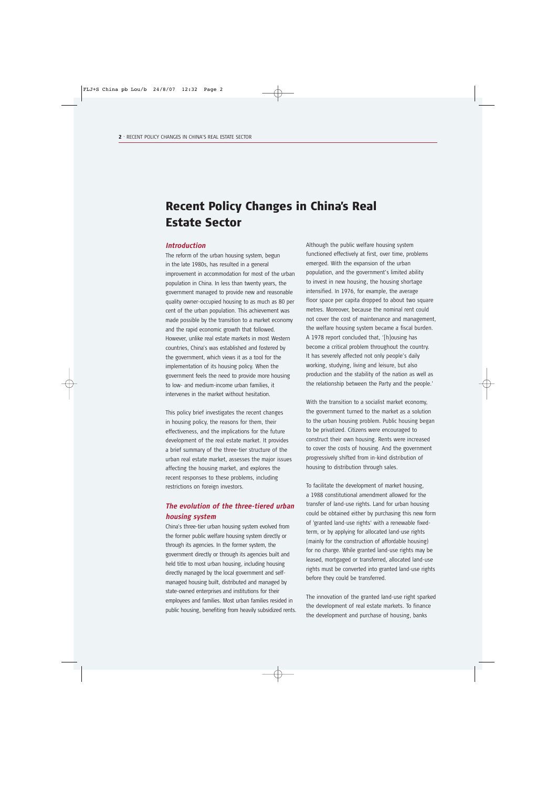# Recent Policy Changes in China's Real Estate Sector

#### *Introduction*

The reform of the urban housing system, begun in the late 1980s, has resulted in a general improvement in accommodation for most of the urban population in China. In less than twenty years, the government managed to provide new and reasonable quality owner-occupied housing to as much as 80 per cent of the urban population. This achievement was made possible by the transition to a market economy and the rapid economic growth that followed. However, unlike real estate markets in most Western countries, China's was established and fostered by the government, which views it as a tool for the implementation of its housing policy. When the government feels the need to provide more housing to low- and medium-income urban families, it intervenes in the market without hesitation.

This policy brief investigates the recent changes in housing policy, the reasons for them, their effectiveness, and the implications for the future development of the real estate market. It provides a brief summary of the three-tier structure of the urban real estate market, assesses the major issues affecting the housing market, and explores the recent responses to these problems, including restrictions on foreign investors.

## *The evolution of the three-tiered urban housing system*

China's three-tier urban housing system evolved from the former public welfare housing system directly or through its agencies. In the former system, the government directly or through its agencies built and held title to most urban housing, including housing directly managed by the local government and selfmanaged housing built, distributed and managed by state-owned enterprises and institutions for their employees and families. Most urban families resided in public housing, benefiting from heavily subsidized rents.

Although the public welfare housing system functioned effectively at first, over time, problems emerged. With the expansion of the urban population, and the government's limited ability to invest in new housing, the housing shortage intensified. In 1976, for example, the average floor space per capita dropped to about two square metres. Moreover, because the nominal rent could not cover the cost of maintenance and management, the welfare housing system became a fiscal burden. A 1978 report concluded that, '[h]ousing has become a critical problem throughout the country. It has severely affected not only people's daily working, studying, living and leisure, but also production and the stability of the nation as well as the relationship between the Party and the people.'

With the transition to a socialist market economy, the government turned to the market as a solution to the urban housing problem. Public housing began to be privatized. Citizens were encouraged to construct their own housing. Rents were increased to cover the costs of housing. And the government progressively shifted from in-kind distribution of housing to distribution through sales.

To facilitate the development of market housing, a 1988 constitutional amendment allowed for the transfer of land-use rights. Land for urban housing could be obtained either by purchasing this new form of 'granted land-use rights' with a renewable fixedterm, or by applying for allocated land-use rights (mainly for the construction of affordable housing) for no charge. While granted land-use rights may be leased, mortgaged or transferred, allocated land-use rights must be converted into granted land-use rights before they could be transferred.

The innovation of the granted land-use right sparked the development of real estate markets. To finance the development and purchase of housing, banks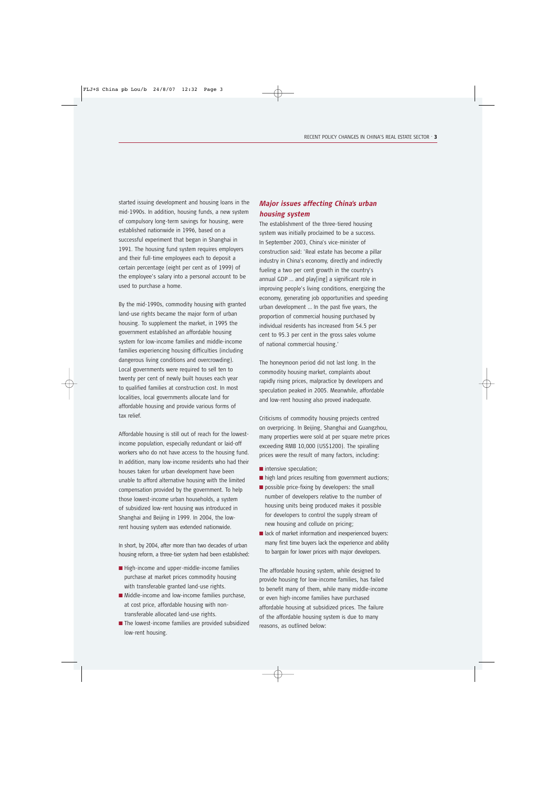started issuing development and housing loans in the mid-1990s. In addition, housing funds, a new system of compulsory long-term savings for housing, were established nationwide in 1996, based on a successful experiment that began in Shanghai in 1991. The housing fund system requires employers and their full-time employees each to deposit a certain percentage (eight per cent as of 1999) of the employee's salary into a personal account to be used to purchase a home.

By the mid-1990s, commodity housing with granted land-use rights became the major form of urban housing. To supplement the market, in 1995 the government established an affordable housing system for low-income families and middle-income families experiencing housing difficulties (including dangerous living conditions and overcrowding). Local governments were required to sell ten to twenty per cent of newly built houses each year to qualified families at construction cost. In most localities, local governments allocate land for affordable housing and provide various forms of tax relief.

Affordable housing is still out of reach for the lowestincome population, especially redundant or laid-off workers who do not have access to the housing fund. In addition, many low-income residents who had their houses taken for urban development have been unable to afford alternative housing with the limited compensation provided by the government. To help those lowest-income urban households, a system of subsidized low-rent housing was introduced in Shanghai and Beijing in 1999. In 2004, the lowrent housing system was extended nationwide.

In short, by 2004, after more than two decades of urban housing reform, a three-tier system had been established:

- High-income and upper-middle-income families purchase at market prices commodity housing with transferable granted land-use rights.
- Middle-income and low-income families purchase, at cost price, affordable housing with nontransferable allocated land-use rights.
- The lowest-income families are provided subsidized low-rent housing.

# *Major issues affecting China's urban housing system*

The establishment of the three-tiered housing system was initially proclaimed to be a success. In September 2003, China's vice-minister of construction said: 'Real estate has become a pillar industry in China's economy, directly and indirectly fueling a two per cent growth in the country's annual GDP … and play[ing] a significant role in improving people's living conditions, energizing the economy, generating job opportunities and speeding urban development … In the past five years, the proportion of commercial housing purchased by individual residents has increased from 54.5 per cent to 95.3 per cent in the gross sales volume of national commercial housing.'

The honeymoon period did not last long. In the commodity housing market, complaints about rapidly rising prices, malpractice by developers and speculation peaked in 2005. Meanwhile, affordable and low-rent housing also proved inadequate.

Criticisms of commodity housing projects centred on overpricing. In Beijing, Shanghai and Guangzhou, many properties were sold at per square metre prices exceeding RMB 10,000 (US\$1200). The spiralling prices were the result of many factors, including:

- intensive speculation;
- high land prices resulting from government auctions;
- possible price-fixing by developers: the small number of developers relative to the number of housing units being produced makes it possible for developers to control the supply stream of new housing and collude on pricing;
- lack of market information and inexperienced buyers: many first time buyers lack the experience and ability to bargain for lower prices with major developers.

The affordable housing system, while designed to provide housing for low-income families, has failed to benefit many of them, while many middle-income or even high-income families have purchased affordable housing at subsidized prices. The failure of the affordable housing system is due to many reasons, as outlined below: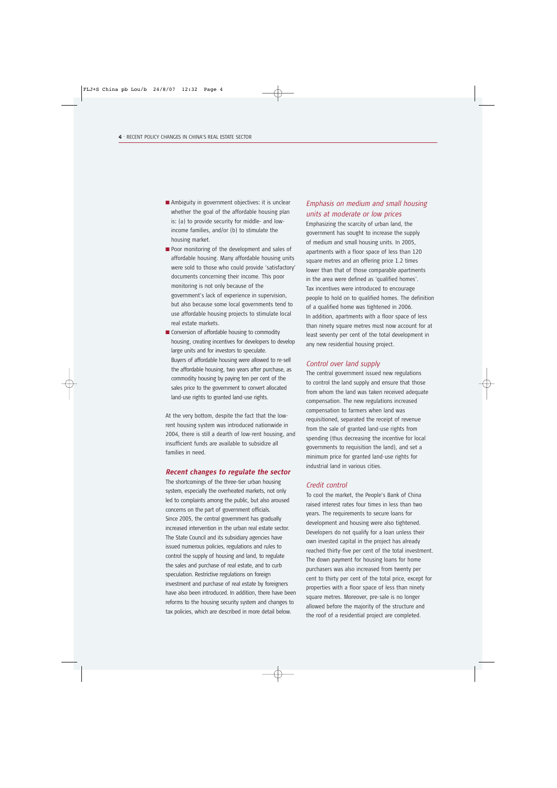- Ambiguity in government objectives: it is unclear whether the goal of the affordable housing plan is: (a) to provide security for middle- and lowincome families, and/or (b) to stimulate the housing market.
- Poor monitoring of the development and sales of affordable housing. Many affordable housing units were sold to those who could provide 'satisfactory' documents concerning their income. This poor monitoring is not only because of the government's lack of experience in supervision, but also because some local governments tend to use affordable housing projects to stimulate local real estate markets.
- Conversion of affordable housing to commodity housing, creating incentives for developers to develop large units and for investors to speculate. Buyers of affordable housing were allowed to re-sell the affordable housing, two years after purchase, as commodity housing by paying ten per cent of the sales price to the government to convert allocated land-use rights to granted land-use rights.

At the very bottom, despite the fact that the lowrent housing system was introduced nationwide in 2004, there is still a dearth of low-rent housing, and insufficient funds are available to subsidize all families in need.

#### *Recent changes to regulate the sector*

The shortcomings of the three-tier urban housing system, especially the overheated markets, not only led to complaints among the public, but also aroused concerns on the part of government officials. Since 2005, the central government has gradually increased intervention in the urban real estate sector. The State Council and its subsidiary agencies have issued numerous policies, regulations and rules to control the supply of housing and land, to regulate the sales and purchase of real estate, and to curb speculation. Restrictive regulations on foreign investment and purchase of real estate by foreigners have also been introduced. In addition, there have been reforms to the housing security system and changes to tax policies, which are described in more detail below.

## *Emphasis on medium and small housing units at moderate or low prices*

Emphasizing the scarcity of urban land, the government has sought to increase the supply of medium and small housing units. In 2005, apartments with a floor space of less than 120 square metres and an offering price 1.2 times lower than that of those comparable apartments in the area were defined as 'qualified homes'. Tax incentives were introduced to encourage people to hold on to qualified homes. The definition of a qualified home was tightened in 2006. In addition, apartments with a floor space of less than ninety square metres must now account for at least seventy per cent of the total development in any new residential housing project.

#### *Control over land supply*

The central government issued new regulations to control the land supply and ensure that those from whom the land was taken received adequate compensation. The new regulations increased compensation to farmers when land was requisitioned, separated the receipt of revenue from the sale of granted land-use rights from spending (thus decreasing the incentive for local governments to requisition the land), and set a minimum price for granted land-use rights for industrial land in various cities.

#### *Credit control*

To cool the market, the People's Bank of China raised interest rates four times in less than two years. The requirements to secure loans for development and housing were also tightened. Developers do not qualify for a loan unless their own invested capital in the project has already reached thirty-five per cent of the total investment. The down payment for housing loans for home purchasers was also increased from twenty per cent to thirty per cent of the total price, except for properties with a floor space of less than ninety square metres. Moreover, pre-sale is no longer allowed before the majority of the structure and the roof of a residential project are completed.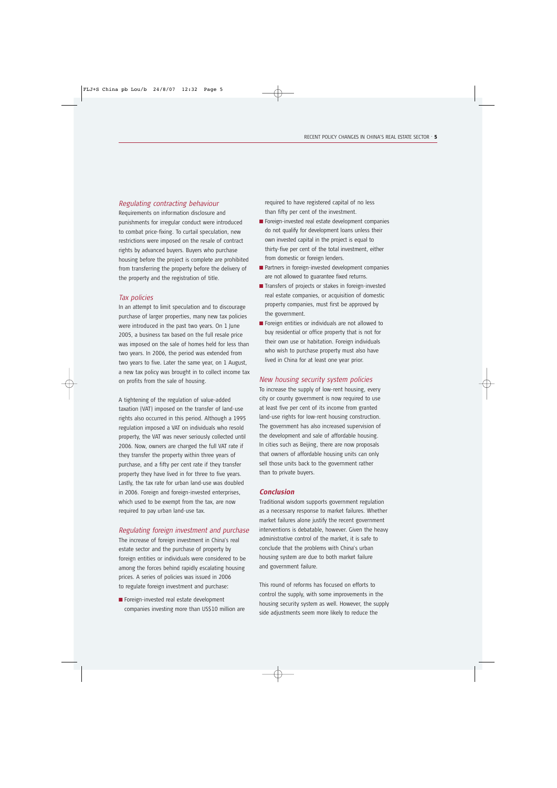#### *Regulating contracting behaviour*

Requirements on information disclosure and punishments for irregular conduct were introduced to combat price-fixing. To curtail speculation, new restrictions were imposed on the resale of contract rights by advanced buyers. Buyers who purchase housing before the project is complete are prohibited from transferring the property before the delivery of the property and the registration of title.

#### *Tax policies*

In an attempt to limit speculation and to discourage purchase of larger properties, many new tax policies were introduced in the past two years. On 1 June 2005, a business tax based on the full resale price was imposed on the sale of homes held for less than two years. In 2006, the period was extended from two years to five. Later the same year, on 1 August, a new tax policy was brought in to collect income tax on profits from the sale of housing.

A tightening of the regulation of value-added taxation (VAT) imposed on the transfer of land-use rights also occurred in this period. Although a 1995 regulation imposed a VAT on individuals who resold property, the VAT was never seriously collected until 2006. Now, owners are charged the full VAT rate if they transfer the property within three years of purchase, and a fifty per cent rate if they transfer property they have lived in for three to five years. Lastly, the tax rate for urban land-use was doubled in 2006. Foreign and foreign-invested enterprises, which used to be exempt from the tax, are now required to pay urban land-use tax.

#### *Regulating foreign investment and purchase*

The increase of foreign investment in China's real estate sector and the purchase of property by foreign entities or individuals were considered to be among the forces behind rapidly escalating housing prices. A series of policies was issued in 2006 to regulate foreign investment and purchase:

■ Foreign-invested real estate development companies investing more than US\$10 million are required to have registered capital of no less than fifty per cent of the investment.

- Foreign-invested real estate development companies do not qualify for development loans unless their own invested capital in the project is equal to thirty-five per cent of the total investment, either from domestic or foreign lenders.
- Partners in foreign-invested development companies are not allowed to guarantee fixed returns.
- Transfers of projects or stakes in foreign-invested real estate companies, or acquisition of domestic property companies, must first be approved by the government.
- Foreign entities or individuals are not allowed to buy residential or office property that is not for their own use or habitation. Foreign individuals who wish to purchase property must also have lived in China for at least one year prior.

#### *New housing security system policies*

To increase the supply of low-rent housing, every city or county government is now required to use at least five per cent of its income from granted land-use rights for low-rent housing construction. The government has also increased supervision of the development and sale of affordable housing. In cities such as Beijing, there are now proposals that owners of affordable housing units can only sell those units back to the government rather than to private buyers.

#### *Conclusion*

Traditional wisdom supports government regulation as a necessary response to market failures. Whether market failures alone justify the recent government interventions is debatable, however. Given the heavy administrative control of the market, it is safe to conclude that the problems with China's urban housing system are due to both market failure and government failure.

This round of reforms has focused on efforts to control the supply, with some improvements in the housing security system as well. However, the supply side adjustments seem more likely to reduce the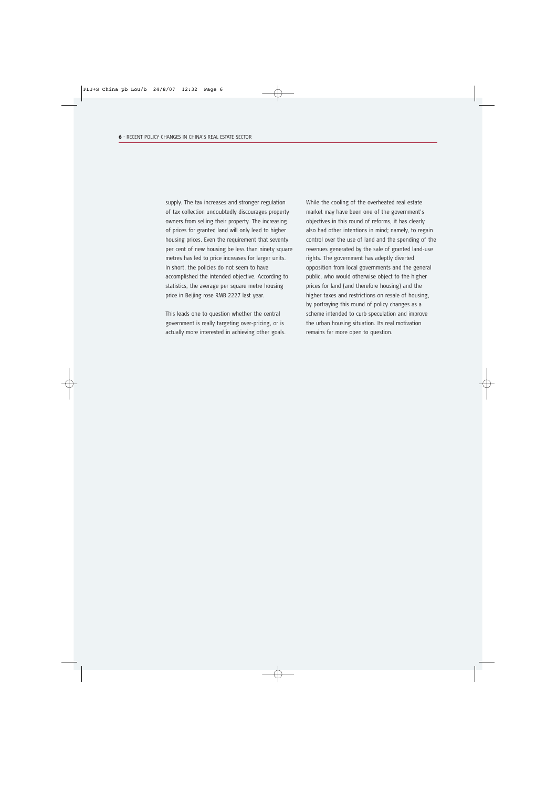supply. The tax increases and stronger regulation of tax collection undoubtedly discourages property owners from selling their property. The increasing of prices for granted land will only lead to higher housing prices. Even the requirement that seventy per cent of new housing be less than ninety square metres has led to price increases for larger units. In short, the policies do not seem to have accomplished the intended objective. According to statistics, the average per square metre housing price in Beijing rose RMB 2227 last year.

This leads one to question whether the central government is really targeting over-pricing, or is actually more interested in achieving other goals.

While the cooling of the overheated real estate market may have been one of the government's objectives in this round of reforms, it has clearly also had other intentions in mind; namely, to regain control over the use of land and the spending of the revenues generated by the sale of granted land-use rights. The government has adeptly diverted opposition from local governments and the general public, who would otherwise object to the higher prices for land (and therefore housing) and the higher taxes and restrictions on resale of housing, by portraying this round of policy changes as a scheme intended to curb speculation and improve the urban housing situation. Its real motivation remains far more open to question.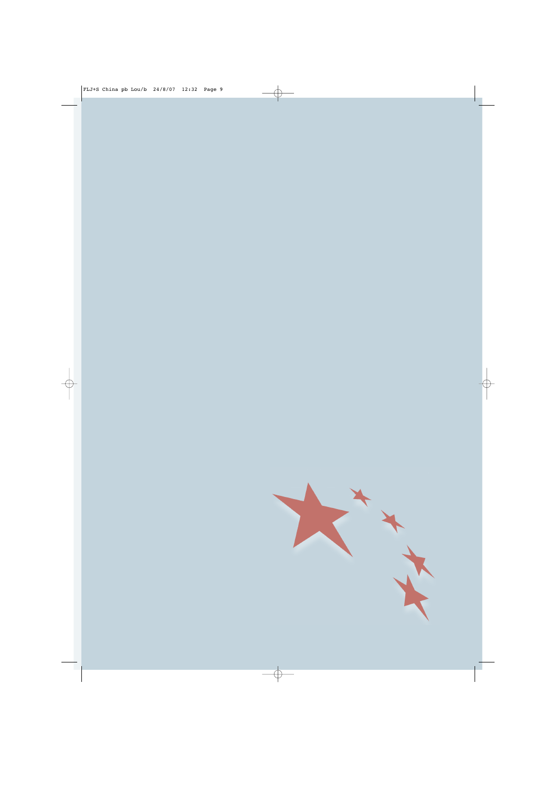